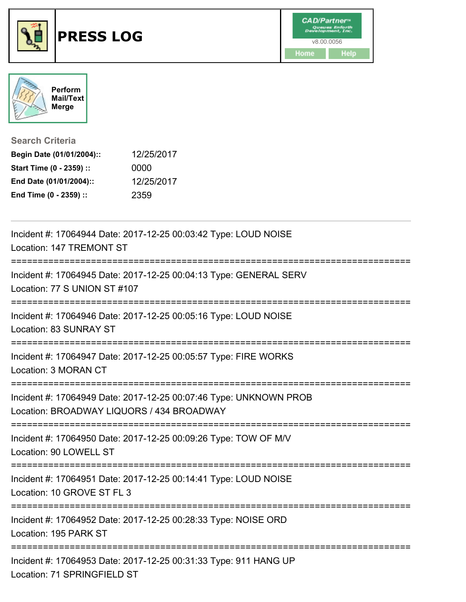



**Search Criteria**

| Begin Date (01/01/2004):: | 12/25/2017 |
|---------------------------|------------|
| Start Time (0 - 2359) ::  | 0000       |
| End Date (01/01/2004)::   | 12/25/2017 |
| End Time (0 - 2359) ::    | 2359       |

| Incident #: 17064944 Date: 2017-12-25 00:03:42 Type: LOUD NOISE<br>Location: 147 TREMONT ST                                          |
|--------------------------------------------------------------------------------------------------------------------------------------|
| Incident #: 17064945 Date: 2017-12-25 00:04:13 Type: GENERAL SERV<br>Location: 77 S UNION ST #107<br>;============================== |
| Incident #: 17064946 Date: 2017-12-25 00:05:16 Type: LOUD NOISE<br>Location: 83 SUNRAY ST                                            |
| Incident #: 17064947 Date: 2017-12-25 00:05:57 Type: FIRE WORKS<br>Location: 3 MORAN CT                                              |
| Incident #: 17064949 Date: 2017-12-25 00:07:46 Type: UNKNOWN PROB<br>Location: BROADWAY LIQUORS / 434 BROADWAY                       |
| Incident #: 17064950 Date: 2017-12-25 00:09:26 Type: TOW OF M/V<br>Location: 90 LOWELL ST                                            |
| Incident #: 17064951 Date: 2017-12-25 00:14:41 Type: LOUD NOISE<br>Location: 10 GROVE ST FL 3                                        |
| Incident #: 17064952 Date: 2017-12-25 00:28:33 Type: NOISE ORD<br>Location: 195 PARK ST                                              |
| Incident #: 17064953 Date: 2017-12-25 00:31:33 Type: 911 HANG UP<br>Location: 71 SPRINGFIELD ST                                      |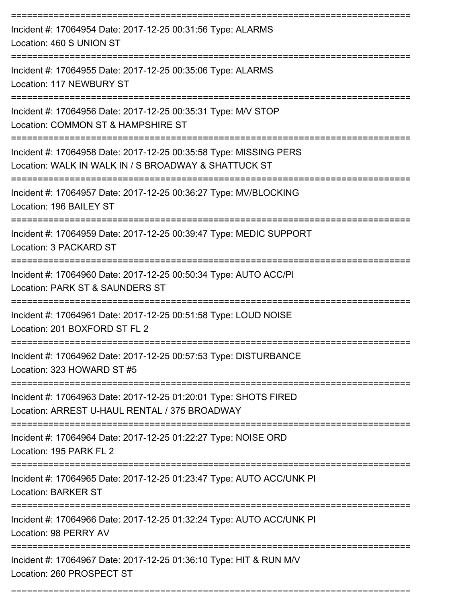| Incident #: 17064954 Date: 2017-12-25 00:31:56 Type: ALARMS<br>Location: 460 S UNION ST                                   |
|---------------------------------------------------------------------------------------------------------------------------|
| Incident #: 17064955 Date: 2017-12-25 00:35:06 Type: ALARMS<br>Location: 117 NEWBURY ST                                   |
| Incident #: 17064956 Date: 2017-12-25 00:35:31 Type: M/V STOP<br>Location: COMMON ST & HAMPSHIRE ST                       |
| Incident #: 17064958 Date: 2017-12-25 00:35:58 Type: MISSING PERS<br>Location: WALK IN WALK IN / S BROADWAY & SHATTUCK ST |
| Incident #: 17064957 Date: 2017-12-25 00:36:27 Type: MV/BLOCKING<br>Location: 196 BAILEY ST                               |
| Incident #: 17064959 Date: 2017-12-25 00:39:47 Type: MEDIC SUPPORT<br>Location: 3 PACKARD ST                              |
| Incident #: 17064960 Date: 2017-12-25 00:50:34 Type: AUTO ACC/PI<br>Location: PARK ST & SAUNDERS ST                       |
| Incident #: 17064961 Date: 2017-12-25 00:51:58 Type: LOUD NOISE<br>Location: 201 BOXFORD ST FL 2                          |
| Incident #: 17064962 Date: 2017-12-25 00:57:53 Type: DISTURBANCE<br>Location: 323 HOWARD ST #5                            |
| Incident #: 17064963 Date: 2017-12-25 01:20:01 Type: SHOTS FIRED<br>Location: ARREST U-HAUL RENTAL / 375 BROADWAY         |
| Incident #: 17064964 Date: 2017-12-25 01:22:27 Type: NOISE ORD<br>Location: 195 PARK FL 2                                 |
| Incident #: 17064965 Date: 2017-12-25 01:23:47 Type: AUTO ACC/UNK PI<br><b>Location: BARKER ST</b>                        |
| Incident #: 17064966 Date: 2017-12-25 01:32:24 Type: AUTO ACC/UNK PI<br>Location: 98 PERRY AV                             |
| Incident #: 17064967 Date: 2017-12-25 01:36:10 Type: HIT & RUN M/V<br>Location: 260 PROSPECT ST                           |

===========================================================================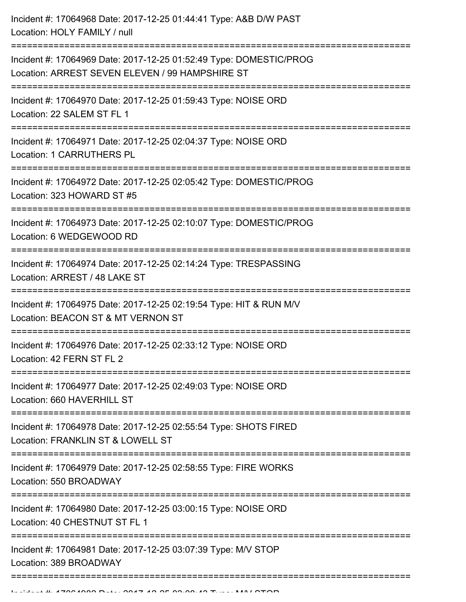| Incident #: 17064968 Date: 2017-12-25 01:44:41 Type: A&B D/W PAST<br>Location: HOLY FAMILY / null                                            |
|----------------------------------------------------------------------------------------------------------------------------------------------|
| Incident #: 17064969 Date: 2017-12-25 01:52:49 Type: DOMESTIC/PROG<br>Location: ARREST SEVEN ELEVEN / 99 HAMPSHIRE ST<br>------------------- |
| Incident #: 17064970 Date: 2017-12-25 01:59:43 Type: NOISE ORD<br>Location: 22 SALEM ST FL 1                                                 |
| Incident #: 17064971 Date: 2017-12-25 02:04:37 Type: NOISE ORD<br><b>Location: 1 CARRUTHERS PL</b>                                           |
| Incident #: 17064972 Date: 2017-12-25 02:05:42 Type: DOMESTIC/PROG<br>Location: 323 HOWARD ST #5                                             |
| Incident #: 17064973 Date: 2017-12-25 02:10:07 Type: DOMESTIC/PROG<br>Location: 6 WEDGEWOOD RD<br>-----------------------------------        |
| Incident #: 17064974 Date: 2017-12-25 02:14:24 Type: TRESPASSING<br>Location: ARREST / 48 LAKE ST                                            |
| Incident #: 17064975 Date: 2017-12-25 02:19:54 Type: HIT & RUN M/V<br>Location: BEACON ST & MT VERNON ST                                     |
| Incident #: 17064976 Date: 2017-12-25 02:33:12 Type: NOISE ORD<br>Location: 42 FERN ST FL 2                                                  |
| Incident #: 17064977 Date: 2017-12-25 02:49:03 Type: NOISE ORD<br>Location: 660 HAVERHILL ST                                                 |
| Incident #: 17064978 Date: 2017-12-25 02:55:54 Type: SHOTS FIRED<br>Location: FRANKLIN ST & LOWELL ST                                        |
| Incident #: 17064979 Date: 2017-12-25 02:58:55 Type: FIRE WORKS<br>Location: 550 BROADWAY                                                    |
| Incident #: 17064980 Date: 2017-12-25 03:00:15 Type: NOISE ORD<br>Location: 40 CHESTNUT ST FL 1                                              |
| Incident #: 17064981 Date: 2017-12-25 03:07:39 Type: M/V STOP<br>Location: 389 BROADWAY                                                      |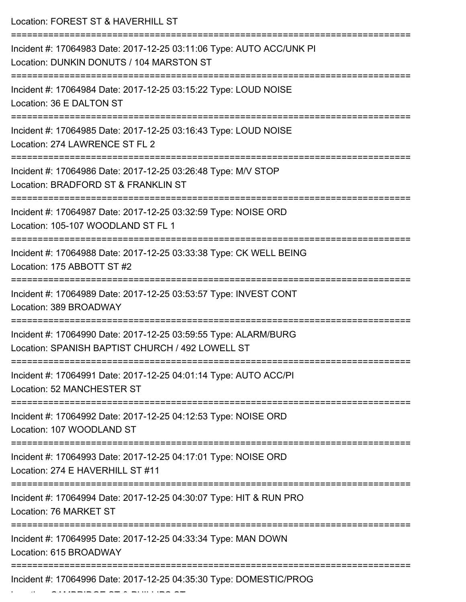| Location: FOREST ST & HAVERHILL ST                                                                                  |
|---------------------------------------------------------------------------------------------------------------------|
| Incident #: 17064983 Date: 2017-12-25 03:11:06 Type: AUTO ACC/UNK PI<br>Location: DUNKIN DONUTS / 104 MARSTON ST    |
| Incident #: 17064984 Date: 2017-12-25 03:15:22 Type: LOUD NOISE<br>Location: 36 E DALTON ST                         |
| Incident #: 17064985 Date: 2017-12-25 03:16:43 Type: LOUD NOISE<br>Location: 274 LAWRENCE ST FL 2                   |
| Incident #: 17064986 Date: 2017-12-25 03:26:48 Type: M/V STOP<br>Location: BRADFORD ST & FRANKLIN ST                |
| Incident #: 17064987 Date: 2017-12-25 03:32:59 Type: NOISE ORD<br>Location: 105-107 WOODLAND ST FL 1                |
| Incident #: 17064988 Date: 2017-12-25 03:33:38 Type: CK WELL BEING<br>Location: 175 ABBOTT ST #2                    |
| Incident #: 17064989 Date: 2017-12-25 03:53:57 Type: INVEST CONT<br>Location: 389 BROADWAY                          |
| Incident #: 17064990 Date: 2017-12-25 03:59:55 Type: ALARM/BURG<br>Location: SPANISH BAPTIST CHURCH / 492 LOWELL ST |
| Incident #: 17064991 Date: 2017-12-25 04:01:14 Type: AUTO ACC/PI<br>Location: 52 MANCHESTER ST                      |
| Incident #: 17064992 Date: 2017-12-25 04:12:53 Type: NOISE ORD<br>Location: 107 WOODLAND ST                         |
| Incident #: 17064993 Date: 2017-12-25 04:17:01 Type: NOISE ORD<br>Location: 274 E HAVERHILL ST #11                  |
| Incident #: 17064994 Date: 2017-12-25 04:30:07 Type: HIT & RUN PRO<br>Location: 76 MARKET ST                        |
| Incident #: 17064995 Date: 2017-12-25 04:33:34 Type: MAN DOWN<br>Location: 615 BROADWAY                             |
| Incident #: 17064996 Date: 2017-12-25 04:35:30 Type: DOMESTIC/PROG                                                  |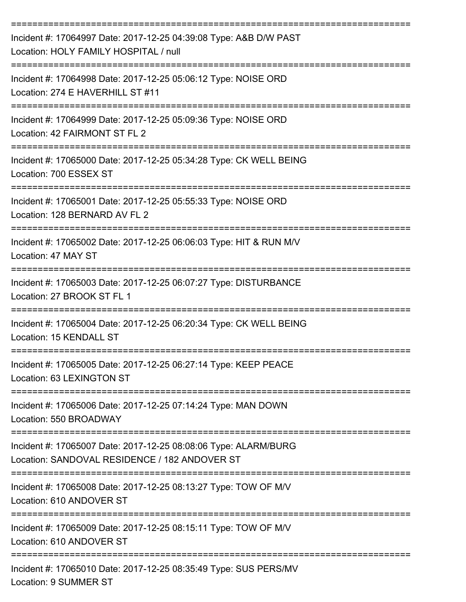| Incident #: 17064997 Date: 2017-12-25 04:39:08 Type: A&B D/W PAST<br>Location: HOLY FAMILY HOSPITAL / null       |
|------------------------------------------------------------------------------------------------------------------|
| Incident #: 17064998 Date: 2017-12-25 05:06:12 Type: NOISE ORD<br>Location: 274 E HAVERHILL ST #11               |
| Incident #: 17064999 Date: 2017-12-25 05:09:36 Type: NOISE ORD<br>Location: 42 FAIRMONT ST FL 2                  |
| Incident #: 17065000 Date: 2017-12-25 05:34:28 Type: CK WELL BEING<br>Location: 700 ESSEX ST                     |
| Incident #: 17065001 Date: 2017-12-25 05:55:33 Type: NOISE ORD<br>Location: 128 BERNARD AV FL 2                  |
| Incident #: 17065002 Date: 2017-12-25 06:06:03 Type: HIT & RUN M/V<br>Location: 47 MAY ST                        |
| Incident #: 17065003 Date: 2017-12-25 06:07:27 Type: DISTURBANCE<br>Location: 27 BROOK ST FL 1                   |
| Incident #: 17065004 Date: 2017-12-25 06:20:34 Type: CK WELL BEING<br>Location: 15 KENDALL ST                    |
| Incident #: 17065005 Date: 2017-12-25 06:27:14 Type: KEEP PEACE<br>Location: 63 LEXINGTON ST                     |
| Incident #: 17065006 Date: 2017-12-25 07:14:24 Type: MAN DOWN<br>Location: 550 BROADWAY                          |
| Incident #: 17065007 Date: 2017-12-25 08:08:06 Type: ALARM/BURG<br>Location: SANDOVAL RESIDENCE / 182 ANDOVER ST |
| Incident #: 17065008 Date: 2017-12-25 08:13:27 Type: TOW OF M/V<br>Location: 610 ANDOVER ST                      |
| Incident #: 17065009 Date: 2017-12-25 08:15:11 Type: TOW OF M/V<br>Location: 610 ANDOVER ST                      |
| Incident #: 17065010 Date: 2017-12-25 08:35:49 Type: SUS PERS/MV                                                 |

Location: 9 SUMMER ST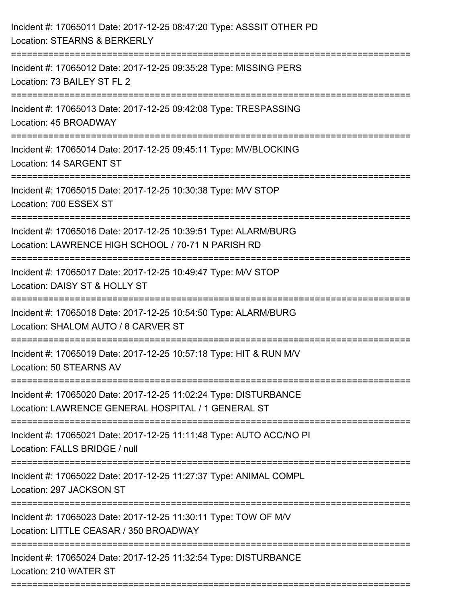| Incident #: 17065011 Date: 2017-12-25 08:47:20 Type: ASSSIT OTHER PD<br>Location: STEARNS & BERKERLY                                               |
|----------------------------------------------------------------------------------------------------------------------------------------------------|
| Incident #: 17065012 Date: 2017-12-25 09:35:28 Type: MISSING PERS<br>Location: 73 BAILEY ST FL 2                                                   |
| Incident #: 17065013 Date: 2017-12-25 09:42:08 Type: TRESPASSING<br>Location: 45 BROADWAY<br>==================================                    |
| Incident #: 17065014 Date: 2017-12-25 09:45:11 Type: MV/BLOCKING<br>Location: 14 SARGENT ST                                                        |
| Incident #: 17065015 Date: 2017-12-25 10:30:38 Type: M/V STOP<br>Location: 700 ESSEX ST                                                            |
| Incident #: 17065016 Date: 2017-12-25 10:39:51 Type: ALARM/BURG<br>Location: LAWRENCE HIGH SCHOOL / 70-71 N PARISH RD                              |
| Incident #: 17065017 Date: 2017-12-25 10:49:47 Type: M/V STOP<br>Location: DAISY ST & HOLLY ST                                                     |
| Incident #: 17065018 Date: 2017-12-25 10:54:50 Type: ALARM/BURG<br>Location: SHALOM AUTO / 8 CARVER ST                                             |
| Incident #: 17065019 Date: 2017-12-25 10:57:18 Type: HIT & RUN M/V<br>Location: 50 STEARNS AV                                                      |
| Incident #: 17065020 Date: 2017-12-25 11:02:24 Type: DISTURBANCE<br>Location: LAWRENCE GENERAL HOSPITAL / 1 GENERAL ST<br>======================== |
| Incident #: 17065021 Date: 2017-12-25 11:11:48 Type: AUTO ACC/NO PI<br>Location: FALLS BRIDGE / null                                               |
| Incident #: 17065022 Date: 2017-12-25 11:27:37 Type: ANIMAL COMPL<br>Location: 297 JACKSON ST                                                      |
| Incident #: 17065023 Date: 2017-12-25 11:30:11 Type: TOW OF M/V<br>Location: LITTLE CEASAR / 350 BROADWAY                                          |
| Incident #: 17065024 Date: 2017-12-25 11:32:54 Type: DISTURBANCE<br>Location: 210 WATER ST                                                         |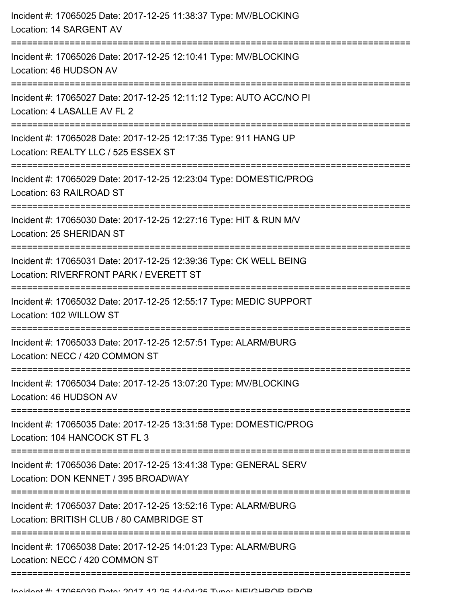| Incident #: 17065025 Date: 2017-12-25 11:38:37 Type: MV/BLOCKING<br>Location: 14 SARGENT AV                                              |
|------------------------------------------------------------------------------------------------------------------------------------------|
| Incident #: 17065026 Date: 2017-12-25 12:10:41 Type: MV/BLOCKING<br>Location: 46 HUDSON AV<br>;=============================             |
| Incident #: 17065027 Date: 2017-12-25 12:11:12 Type: AUTO ACC/NO PI<br>Location: 4 LASALLE AV FL 2                                       |
| Incident #: 17065028 Date: 2017-12-25 12:17:35 Type: 911 HANG UP<br>Location: REALTY LLC / 525 ESSEX ST                                  |
| Incident #: 17065029 Date: 2017-12-25 12:23:04 Type: DOMESTIC/PROG<br>Location: 63 RAILROAD ST                                           |
| Incident #: 17065030 Date: 2017-12-25 12:27:16 Type: HIT & RUN M/V<br>Location: 25 SHERIDAN ST                                           |
| Incident #: 17065031 Date: 2017-12-25 12:39:36 Type: CK WELL BEING<br>Location: RIVERFRONT PARK / EVERETT ST<br>.----------------------- |
| Incident #: 17065032 Date: 2017-12-25 12:55:17 Type: MEDIC SUPPORT<br>Location: 102 WILLOW ST                                            |
| Incident #: 17065033 Date: 2017-12-25 12:57:51 Type: ALARM/BURG<br>Location: NECC / 420 COMMON ST                                        |
| Incident #: 17065034 Date: 2017-12-25 13:07:20 Type: MV/BLOCKING<br>Location: 46 HUDSON AV                                               |
| Incident #: 17065035 Date: 2017-12-25 13:31:58 Type: DOMESTIC/PROG<br>Location: 104 HANCOCK ST FL 3                                      |
| Incident #: 17065036 Date: 2017-12-25 13:41:38 Type: GENERAL SERV<br>Location: DON KENNET / 395 BROADWAY                                 |
| Incident #: 17065037 Date: 2017-12-25 13:52:16 Type: ALARM/BURG<br>Location: BRITISH CLUB / 80 CAMBRIDGE ST                              |
| Incident #: 17065038 Date: 2017-12-25 14:01:23 Type: ALARM/BURG<br>Location: NECC / 420 COMMON ST                                        |
|                                                                                                                                          |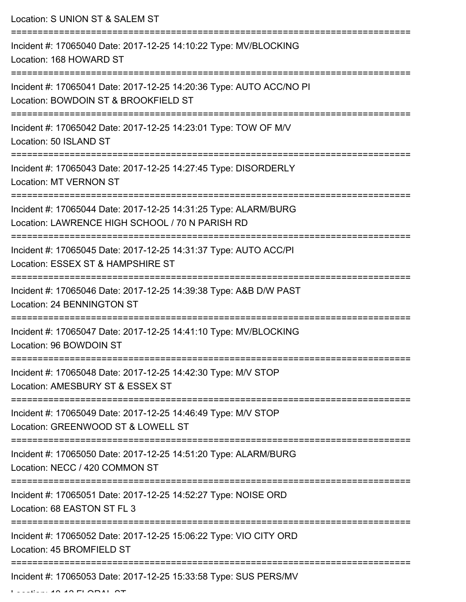Location: S UNION ST & SALEM ST

| Incident #: 17065040 Date: 2017-12-25 14:10:22 Type: MV/BLOCKING<br>Location: 168 HOWARD ST                        |
|--------------------------------------------------------------------------------------------------------------------|
| Incident #: 17065041 Date: 2017-12-25 14:20:36 Type: AUTO ACC/NO PI<br>Location: BOWDOIN ST & BROOKFIELD ST        |
| Incident #: 17065042 Date: 2017-12-25 14:23:01 Type: TOW OF M/V<br>Location: 50 ISLAND ST                          |
| Incident #: 17065043 Date: 2017-12-25 14:27:45 Type: DISORDERLY<br><b>Location: MT VERNON ST</b>                   |
| Incident #: 17065044 Date: 2017-12-25 14:31:25 Type: ALARM/BURG<br>Location: LAWRENCE HIGH SCHOOL / 70 N PARISH RD |
| Incident #: 17065045 Date: 2017-12-25 14:31:37 Type: AUTO ACC/PI<br>Location: ESSEX ST & HAMPSHIRE ST              |
| Incident #: 17065046 Date: 2017-12-25 14:39:38 Type: A&B D/W PAST<br>Location: 24 BENNINGTON ST                    |
| Incident #: 17065047 Date: 2017-12-25 14:41:10 Type: MV/BLOCKING<br>Location: 96 BOWDOIN ST                        |
| Incident #: 17065048 Date: 2017-12-25 14:42:30 Type: M/V STOP<br>Location: AMESBURY ST & ESSEX ST                  |
| Incident #: 17065049 Date: 2017-12-25 14:46:49 Type: M/V STOP<br>Location: GREENWOOD ST & LOWELL ST                |
| Incident #: 17065050 Date: 2017-12-25 14:51:20 Type: ALARM/BURG<br>Location: NECC / 420 COMMON ST                  |
| Incident #: 17065051 Date: 2017-12-25 14:52:27 Type: NOISE ORD<br>Location: 68 EASTON ST FL 3                      |
| Incident #: 17065052 Date: 2017-12-25 15:06:22 Type: VIO CITY ORD<br>Location: 45 BROMFIELD ST                     |
| Incident #: 17065053 Date: 2017-12-25 15:33:58 Type: SUS PERS/MV                                                   |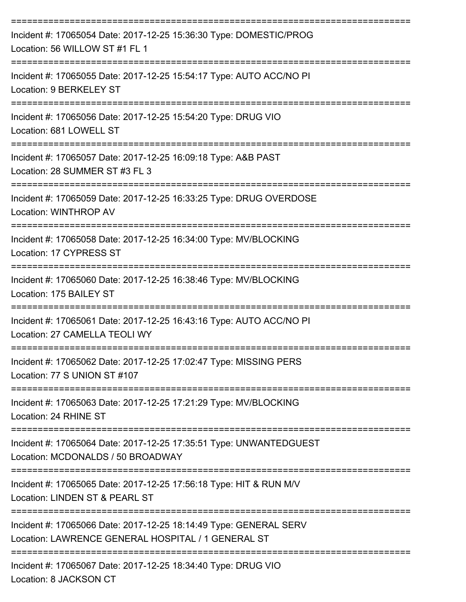| Incident #: 17065054 Date: 2017-12-25 15:36:30 Type: DOMESTIC/PROG<br>Location: 56 WILLOW ST #1 FL 1                              |
|-----------------------------------------------------------------------------------------------------------------------------------|
| Incident #: 17065055 Date: 2017-12-25 15:54:17 Type: AUTO ACC/NO PI<br>Location: 9 BERKELEY ST                                    |
| Incident #: 17065056 Date: 2017-12-25 15:54:20 Type: DRUG VIO<br>Location: 681 LOWELL ST                                          |
| Incident #: 17065057 Date: 2017-12-25 16:09:18 Type: A&B PAST<br>Location: 28 SUMMER ST #3 FL 3                                   |
| Incident #: 17065059 Date: 2017-12-25 16:33:25 Type: DRUG OVERDOSE<br>Location: WINTHROP AV                                       |
| Incident #: 17065058 Date: 2017-12-25 16:34:00 Type: MV/BLOCKING<br>Location: 17 CYPRESS ST                                       |
| Incident #: 17065060 Date: 2017-12-25 16:38:46 Type: MV/BLOCKING<br>Location: 175 BAILEY ST                                       |
| Incident #: 17065061 Date: 2017-12-25 16:43:16 Type: AUTO ACC/NO PI<br>Location: 27 CAMELLA TEOLI WY                              |
| Incident #: 17065062 Date: 2017-12-25 17:02:47 Type: MISSING PERS<br>Location: 77 S UNION ST #107                                 |
| Incident #: 17065063 Date: 2017-12-25 17:21:29 Type: MV/BLOCKING<br>Location: 24 RHINE ST                                         |
| Incident #: 17065064 Date: 2017-12-25 17:35:51 Type: UNWANTEDGUEST<br>Location: MCDONALDS / 50 BROADWAY                           |
| -------------------------<br>Incident #: 17065065 Date: 2017-12-25 17:56:18 Type: HIT & RUN M/V<br>Location: LINDEN ST & PEARL ST |
| Incident #: 17065066 Date: 2017-12-25 18:14:49 Type: GENERAL SERV<br>Location: LAWRENCE GENERAL HOSPITAL / 1 GENERAL ST           |
| ------------------------------<br>Incident #: 17065067 Date: 2017-12-25 18:34:40 Type: DRUG VIO<br>Location: 8 JACKSON CT         |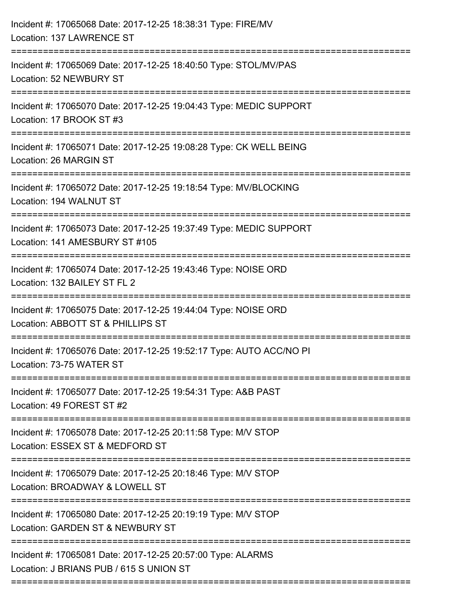| Incident #: 17065068 Date: 2017-12-25 18:38:31 Type: FIRE/MV<br>Location: 137 LAWRENCE ST              |
|--------------------------------------------------------------------------------------------------------|
| Incident #: 17065069 Date: 2017-12-25 18:40:50 Type: STOL/MV/PAS<br>Location: 52 NEWBURY ST            |
| Incident #: 17065070 Date: 2017-12-25 19:04:43 Type: MEDIC SUPPORT<br>Location: 17 BROOK ST #3         |
| Incident #: 17065071 Date: 2017-12-25 19:08:28 Type: CK WELL BEING<br>Location: 26 MARGIN ST           |
| Incident #: 17065072 Date: 2017-12-25 19:18:54 Type: MV/BLOCKING<br>Location: 194 WALNUT ST            |
| Incident #: 17065073 Date: 2017-12-25 19:37:49 Type: MEDIC SUPPORT<br>Location: 141 AMESBURY ST #105   |
| Incident #: 17065074 Date: 2017-12-25 19:43:46 Type: NOISE ORD<br>Location: 132 BAILEY ST FL 2         |
| Incident #: 17065075 Date: 2017-12-25 19:44:04 Type: NOISE ORD<br>Location: ABBOTT ST & PHILLIPS ST    |
| Incident #: 17065076 Date: 2017-12-25 19:52:17 Type: AUTO ACC/NO PI<br>Location: 73-75 WATER ST        |
| Incident #: 17065077 Date: 2017-12-25 19:54:31 Type: A&B PAST<br>Location: 49 FOREST ST #2             |
| Incident #: 17065078 Date: 2017-12-25 20:11:58 Type: M/V STOP<br>Location: ESSEX ST & MEDFORD ST       |
| Incident #: 17065079 Date: 2017-12-25 20:18:46 Type: M/V STOP<br>Location: BROADWAY & LOWELL ST        |
| Incident #: 17065080 Date: 2017-12-25 20:19:19 Type: M/V STOP<br>Location: GARDEN ST & NEWBURY ST      |
| Incident #: 17065081 Date: 2017-12-25 20:57:00 Type: ALARMS<br>Location: J BRIANS PUB / 615 S UNION ST |
|                                                                                                        |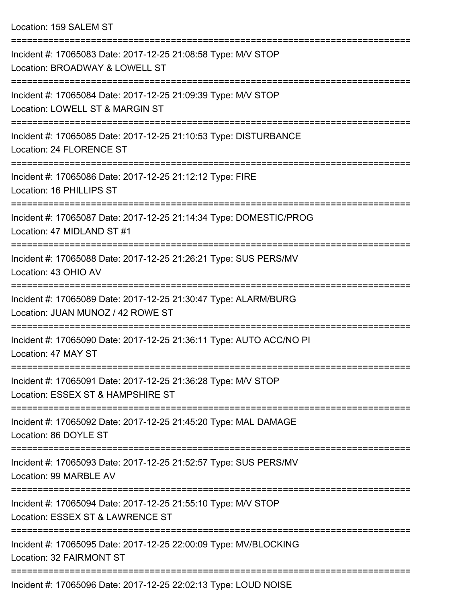Location: 159 SALEM ST

| Incident #: 17065083 Date: 2017-12-25 21:08:58 Type: M/V STOP<br>Location: BROADWAY & LOWELL ST              |
|--------------------------------------------------------------------------------------------------------------|
| Incident #: 17065084 Date: 2017-12-25 21:09:39 Type: M/V STOP<br>Location: LOWELL ST & MARGIN ST             |
| Incident #: 17065085 Date: 2017-12-25 21:10:53 Type: DISTURBANCE<br>Location: 24 FLORENCE ST<br>------------ |
| Incident #: 17065086 Date: 2017-12-25 21:12:12 Type: FIRE<br>Location: 16 PHILLIPS ST                        |
| Incident #: 17065087 Date: 2017-12-25 21:14:34 Type: DOMESTIC/PROG<br>Location: 47 MIDLAND ST #1             |
| Incident #: 17065088 Date: 2017-12-25 21:26:21 Type: SUS PERS/MV<br>Location: 43 OHIO AV                     |
| Incident #: 17065089 Date: 2017-12-25 21:30:47 Type: ALARM/BURG<br>Location: JUAN MUNOZ / 42 ROWE ST         |
| Incident #: 17065090 Date: 2017-12-25 21:36:11 Type: AUTO ACC/NO PI<br>Location: 47 MAY ST                   |
| Incident #: 17065091 Date: 2017-12-25 21:36:28 Type: M/V STOP<br>Location: ESSEX ST & HAMPSHIRE ST           |
| Incident #: 17065092 Date: 2017-12-25 21:45:20 Type: MAL DAMAGE<br>Location: 86 DOYLE ST                     |
| Incident #: 17065093 Date: 2017-12-25 21:52:57 Type: SUS PERS/MV<br>Location: 99 MARBLE AV                   |
| Incident #: 17065094 Date: 2017-12-25 21:55:10 Type: M/V STOP<br>Location: ESSEX ST & LAWRENCE ST            |
| Incident #: 17065095 Date: 2017-12-25 22:00:09 Type: MV/BLOCKING<br>Location: 32 FAIRMONT ST                 |
| $I_{\text{no}}$ ident #: 17065006 Dete: 2017 12.25 22:02:12 Tupe: LOUD NOISE                                 |

Incident #: 17065096 Date: 2017-12-25 22:02:13 Type: LOUD NOISE